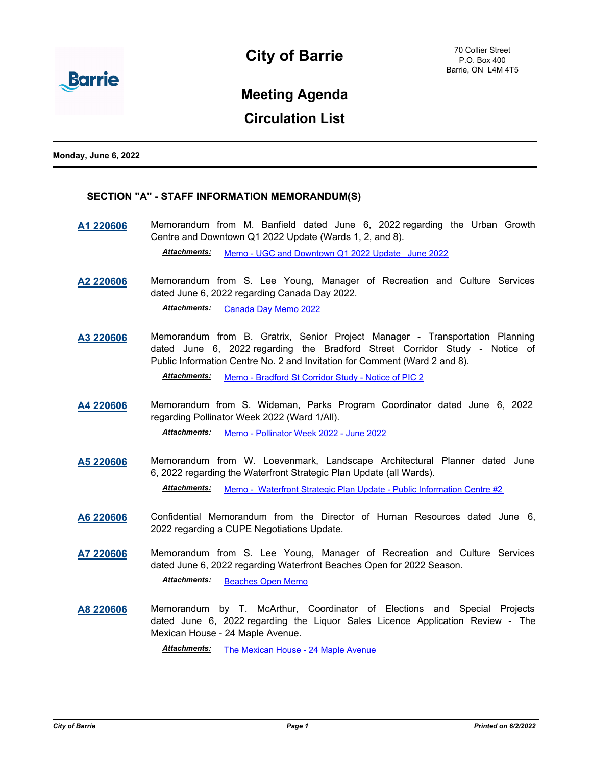

# **Meeting Agenda**

## **Circulation List**

**Monday, June 6, 2022**

## **SECTION "A" - STAFF INFORMATION MEMORANDUM(S)**

**[A1 220606](http://barrie.ca.legistar.com/gateway.aspx?m=l&id=/matter.aspx?key=50711)** Memorandum from M. Banfield dated June 6, 2022 regarding the Urban Growth Centre and Downtown Q1 2022 Update (Wards 1, 2, and 8).

*Attachments:* [Memo - UGC and Downtown Q1 2022 Update \\_June 2022](http://barrie.ca.legistar.com/gateway.aspx?M=F&ID=34ea4d71-43da-4d5f-8a9a-ddfbb3012b1d.pdf)

**[A2 220606](http://barrie.ca.legistar.com/gateway.aspx?m=l&id=/matter.aspx?key=50757)** Memorandum from S. Lee Young, Manager of Recreation and Culture Services dated June 6, 2022 regarding Canada Day 2022.

*Attachments:* [Canada Day Memo 2022](http://barrie.ca.legistar.com/gateway.aspx?M=F&ID=8adf2701-876f-46a2-a7e0-920849e546c9.pdf)

**[A3 220606](http://barrie.ca.legistar.com/gateway.aspx?m=l&id=/matter.aspx?key=50624)** Memorandum from B. Gratrix, Senior Project Manager - Transportation Planning dated June 6, 2022 regarding the Bradford Street Corridor Study - Notice of Public Information Centre No. 2 and Invitation for Comment (Ward 2 and 8).

*Attachments:* [Memo - Bradford St Corridor Study - Notice of PIC 2](http://barrie.ca.legistar.com/gateway.aspx?M=F&ID=747ecff6-3dd6-4f63-a74f-1c4af6e07e57.pdf)

**[A4 220606](http://barrie.ca.legistar.com/gateway.aspx?m=l&id=/matter.aspx?key=50709)** Memorandum from S. Wideman, Parks Program Coordinator dated June 6, 2022 regarding Pollinator Week 2022 (Ward 1/All).

*Attachments:* [Memo - Pollinator Week 2022 - June 2022](http://barrie.ca.legistar.com/gateway.aspx?M=F&ID=1ba19536-efc1-4b68-bf44-a2cc18210bd0.pdf)

- **[A5 220606](http://barrie.ca.legistar.com/gateway.aspx?m=l&id=/matter.aspx?key=50710)** Memorandum from W. Loevenmark, Landscape Architectural Planner dated June 6, 2022 regarding the Waterfront Strategic Plan Update (all Wards). *Attachments:* [Memo - Waterfront Strategic Plan Update - Public Information Centre #2](http://barrie.ca.legistar.com/gateway.aspx?M=F&ID=ba503545-003c-49d0-a6ec-80da198e3c5d.pdf)
- **[A6 220606](http://barrie.ca.legistar.com/gateway.aspx?m=l&id=/matter.aspx?key=50806)** Confidential Memorandum from the Director of Human Resources dated June 6, 2022 regarding a CUPE Negotiations Update.
- **[A7 220606](http://barrie.ca.legistar.com/gateway.aspx?m=l&id=/matter.aspx?key=50758)** Memorandum from S. Lee Young, Manager of Recreation and Culture Services dated June 6, 2022 regarding Waterfront Beaches Open for 2022 Season.

*Attachments:* [Beaches Open Memo](http://barrie.ca.legistar.com/gateway.aspx?M=F&ID=0f046b01-e16a-4f23-aa38-76fffe147681.pdf)

**[A8 220606](http://barrie.ca.legistar.com/gateway.aspx?m=l&id=/matter.aspx?key=50836)** Memorandum by T. McArthur, Coordinator of Elections and Special Projects dated June 6, 2022 regarding the Liquor Sales Licence Application Review - The Mexican House - 24 Maple Avenue.

*Attachments:* [The Mexican House - 24 Maple Avenue](http://barrie.ca.legistar.com/gateway.aspx?M=F&ID=a9c4c8b1-640c-4a2e-94d9-d7b118f2495c.pdf)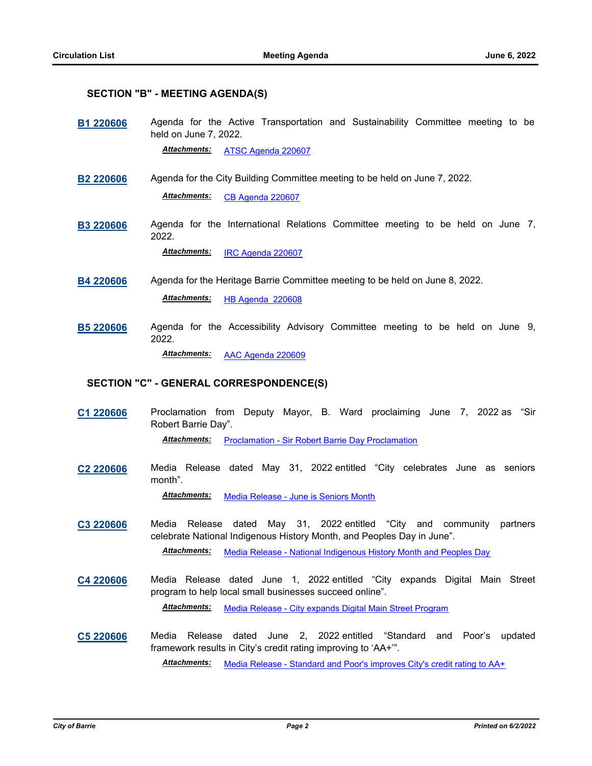### **SECTION "B" - MEETING AGENDA(S)**

**[B1 220606](http://barrie.ca.legistar.com/gateway.aspx?m=l&id=/matter.aspx?key=50775)** Agenda for the Active Transportation and Sustainability Committee meeting to be held on June 7, 2022.

*Attachments:* [ATSC Agenda 220607](http://barrie.ca.legistar.com/gateway.aspx?M=F&ID=cf8afc8c-2dcf-4f86-8082-227f466a998a.pdf)

- **[B2 220606](http://barrie.ca.legistar.com/gateway.aspx?m=l&id=/matter.aspx?key=50776)** Agenda for the City Building Committee meeting to be held on June 7, 2022. *Attachments:* [CB Agenda 220607](http://barrie.ca.legistar.com/gateway.aspx?M=F&ID=23a1e906-4f4c-4f75-b682-107aa12ce859.pdf)
- **[B3 220606](http://barrie.ca.legistar.com/gateway.aspx?m=l&id=/matter.aspx?key=50777)** Agenda for the International Relations Committee meeting to be held on June 7, 2022.

*Attachments:* [IRC Agenda 220607](http://barrie.ca.legistar.com/gateway.aspx?M=F&ID=291b3560-d38b-4d14-993f-80158887f7cf.pdf)

**[B4 220606](http://barrie.ca.legistar.com/gateway.aspx?m=l&id=/matter.aspx?key=50778)** Agenda for the Heritage Barrie Committee meeting to be held on June 8, 2022.

*Attachments:* [HB Agenda 220608](http://barrie.ca.legistar.com/gateway.aspx?M=F&ID=3e8ea4bf-88b4-4a79-852c-21f1181e8787.pdf)

**[B5 220606](http://barrie.ca.legistar.com/gateway.aspx?m=l&id=/matter.aspx?key=50779)** Agenda for the Accessibility Advisory Committee meeting to be held on June 9, 2022.

*Attachments:* [AAC Agenda 220609](http://barrie.ca.legistar.com/gateway.aspx?M=F&ID=e6918ebe-37f8-4370-b7f5-47911a54a15c.pdf)

### **SECTION "C" - GENERAL CORRESPONDENCE(S)**

**[C1 220606](http://barrie.ca.legistar.com/gateway.aspx?m=l&id=/matter.aspx?key=50772)** Proclamation from Deputy Mayor, B. Ward proclaiming June 7, 2022 as "Sir Robert Barrie Day".

**Attachments:** [Proclamation - Sir Robert Barrie Day Proclamation](http://barrie.ca.legistar.com/gateway.aspx?M=F&ID=79e54251-49e4-4158-b638-f52f61ede325.pdf)

**[C2 220606](http://barrie.ca.legistar.com/gateway.aspx?m=l&id=/matter.aspx?key=50773)** Media Release dated May 31, 2022 entitled "City celebrates June as seniors month".

*Attachments:* [Media Release - June is Seniors Month](http://barrie.ca.legistar.com/gateway.aspx?M=F&ID=75f9faa3-297e-4640-b5dd-86bff27c68f4.pdf)

- **[C3 220606](http://barrie.ca.legistar.com/gateway.aspx?m=l&id=/matter.aspx?key=50774)** Media Release dated May 31, 2022 entitled "City and community partners celebrate National Indigenous History Month, and Peoples Day in June". *Attachments:* [Media Release - National Indigenous History Month and Peoples Day](http://barrie.ca.legistar.com/gateway.aspx?M=F&ID=8710ddef-758b-461a-ac94-eea425618c98.pdf)
- **[C4 220606](http://barrie.ca.legistar.com/gateway.aspx?m=l&id=/matter.aspx?key=50809)** Media Release dated June 1, 2022 entitled "City expands Digital Main Street program to help local small businesses succeed online".

*Attachments:* [Media Release - City expands Digital Main Street Program](http://barrie.ca.legistar.com/gateway.aspx?M=F&ID=ef44f69e-a8b6-4f06-b5ab-54ed4d79e8f4.pdf)

**[C5 220606](http://barrie.ca.legistar.com/gateway.aspx?m=l&id=/matter.aspx?key=50831)** Media Release dated June 2, 2022 entitled "Standard and Poor's updated framework results in City's credit rating improving to 'AA+'".

*Attachments:* [Media Release - Standard and Poor's improves City's credit rating to AA+](http://barrie.ca.legistar.com/gateway.aspx?M=F&ID=cc0090b5-67bd-4452-b259-44568f448053.pdf)